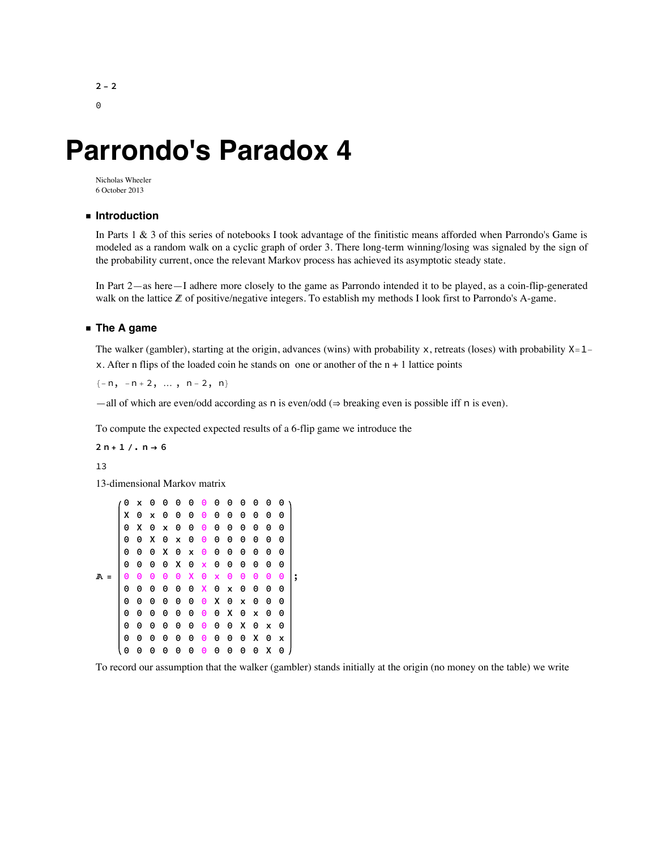$2 - 2$  $\Theta$ 

# **Parrondo's Paradox 4**

Nicholas Wheeler 6 October 2013

### **◼ Introduction**

In Parts 1 & 3 of this series of notebooks I took advantage of the finitistic means afforded when Parrondo's Game is modeled as a random walk on a cyclic graph of order 3. There long-term winning/losing was signaled by the sign of the probability current, once the relevant Markov process has achieved its asymptotic steady state.

In Part 2—as here—I adhere more closely to the game as Parrondo intended it to be played, as a coin-flip-generated walk on the lattice ℤ of positive/negative integers. To establish my methods I look first to Parrondo's A-game.

#### **◼ The A game**

The walker (gambler), starting at the origin, advances (wins) with probability  $x$ , retreats (loses) with probability  $X=1$ x. After n flips of the loaded coin he stands on one or another of the  $n + 1$  lattice points

 $\{-n, -n + 2, ..., n - 2, n\}$ 

—all of which are even/odd according as n is even/odd (⇒ breaking even is possible iff n is even).

To compute the expected expected results of a 6-flip game we introduce the

 $2n + 1$  /,  $n \rightarrow 6$ 

13

13-dimensional Markov matrix

| 0 | x | 0 | 0                     | 0            | 0   | $\boldsymbol{\Theta}$ | 0                         | 0 | 0 | 0 | 0 | 0 |   |
|---|---|---|-----------------------|--------------|-----|-----------------------|---------------------------|---|---|---|---|---|---|
| х | 0 | x | 0                     | 0            | 0   | 0                     | 0                         | 0 | 0 | 0 | 0 | 0 |   |
| 0 | х | 0 | X                     | 0            | 0   | 0                     | 0                         | 0 | 0 | 0 | 0 | 0 |   |
| 0 | 0 | x | 0                     | $\mathsf{x}$ | 0   | 0                     | 0                         | 0 | 0 | 0 | 0 | 0 |   |
| 0 | 0 | 0 | x                     | 0            | x   | 0                     | 0                         | 0 | 0 | 0 | 0 | 0 |   |
| 0 | 0 | 0 | 0                     | X            | 0   | $\mathbf{x}$          | 0                         | 0 | 0 | 0 | 0 | 0 |   |
| Θ | 0 | 0 | $\boldsymbol{\Theta}$ |              | 0 X | $\boldsymbol{\Theta}$ | $\mathbf{x}$              | 0 | 0 | 0 | Θ | 0 | ; |
| 0 | 0 | 0 | 0                     | 0            |     | 0 X 0                 |                           | X | 0 | 0 | 0 | 0 |   |
| 0 | 0 | 0 | 0                     | 0            | 0   | $\boldsymbol{\Theta}$ | $\boldsymbol{\mathsf{X}}$ | 0 | X | 0 | 0 | 0 |   |
| 0 | 0 | 0 | 0                     | 0            | 0   | 0                     | 0                         | x | 0 | x | 0 | 0 |   |
| 0 | 0 | 0 | 0                     | 0            | 0   | 0                     | 0                         | 0 | x | 0 | X | 0 |   |
| 0 | 0 | 0 | 0                     | 0            | 0   | 0                     | 0                         | 0 | 0 | x | 0 | x |   |
| 0 | 0 | 0 | 0                     | 0            | 0   | 0                     | 0                         | 0 | 0 | 0 | х | 0 |   |

To record our assumption that the walker (gambler) stands initially at the origin (no money on the table) we write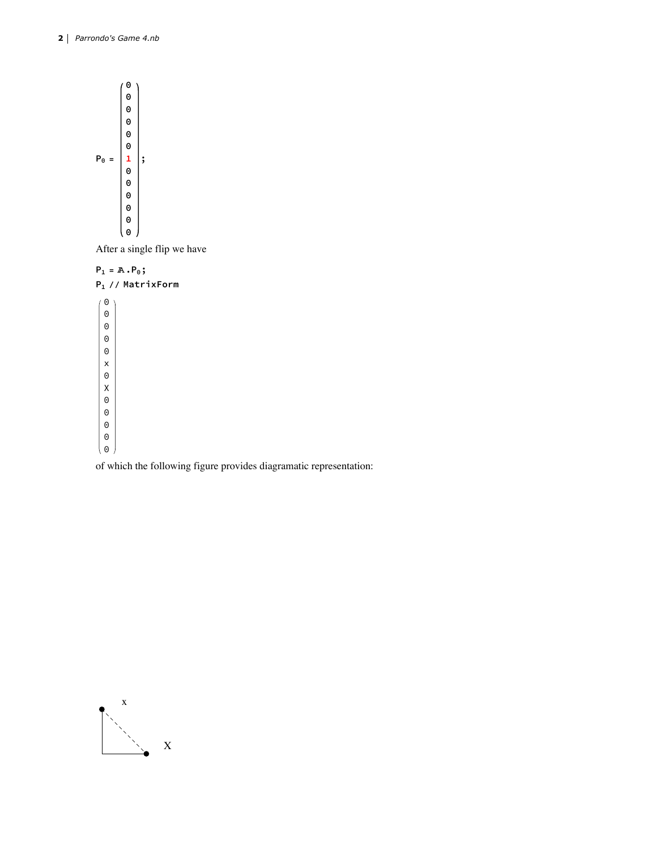

After a single flip we have



of which the following figure provides diagramatic representation:

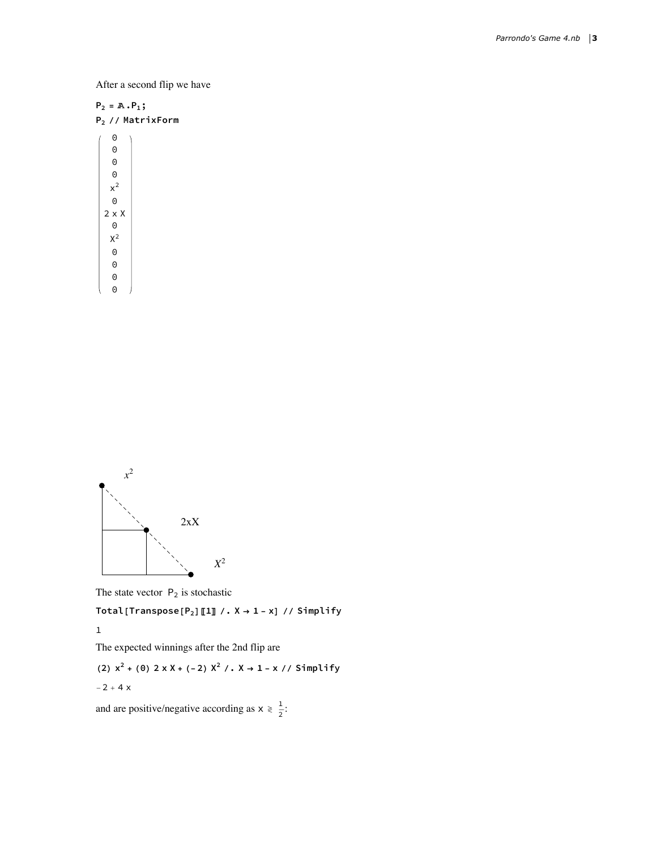After a second flip we have

 $P_2 = \mathbb{A} \cdot P_1;$ 

| P <sub>2</sub> // MatrixForm |  |
|------------------------------|--|
|------------------------------|--|

 $\Theta$  $\Theta$  $\Theta$  $\Theta$  $x^2$  $\Theta$ 2 x X  $\Theta$  $\rm X^2$  $\Theta$  $\Theta$  $\Theta$ 

 $\Theta$ 

*x*2  $2xX$ *X*2

The state vector  $P_2$  is stochastic

**Total[Transpose[** $P_2$ **]** [1] /.  $X \rightarrow 1 - x$ ] // Simplify

1

The expected winnings after the 2nd flip are

(2) 
$$
x^2 + (0) 2xX + (-2)X^2 / . X \rightarrow 1 - x // Simplify
$$

$$
-2 + 4\ x
$$

and are positive/negative according as  $x \ge \frac{1}{2}$ :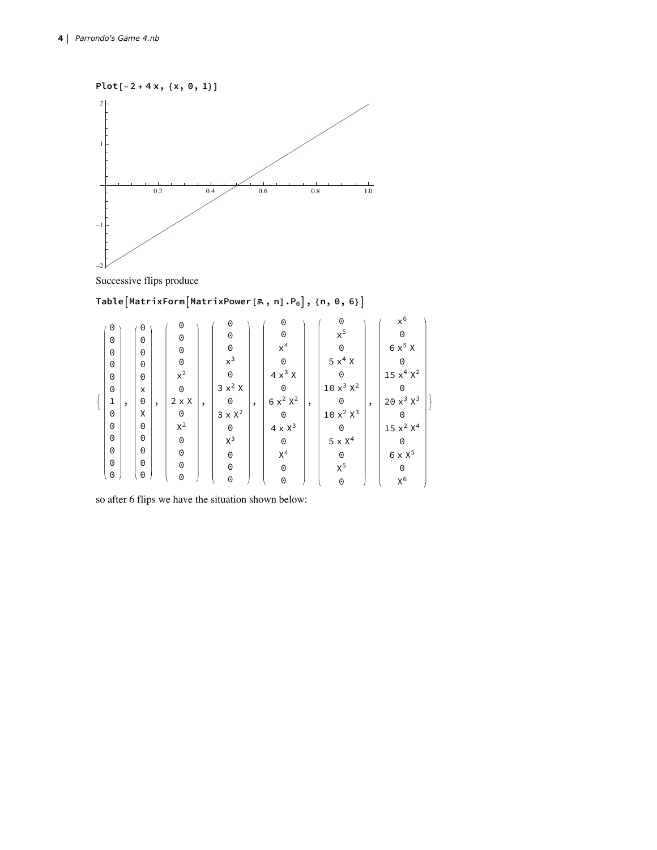

Successive flips produce

# **TableMatrixFormMatrixPower[%, n].P0, {n, 0, 6}**

| 0        |         | 0 |         | 0            |         | 0              |         | 0                       |         | 0              |         | $x^6$                            |  |
|----------|---------|---|---------|--------------|---------|----------------|---------|-------------------------|---------|----------------|---------|----------------------------------|--|
| 0        |         | 0 |         | 0            |         | 0              |         | $\Theta$                |         | $x^5$          |         | 0                                |  |
| 0        |         | 0 |         | 0            |         | $\Theta$       |         | $x^4$                   |         | 0              |         | $6 \times^5 X$                   |  |
| $\Theta$ |         | 0 |         | 0            |         | $x^3$          |         | 0                       |         | $5 \times^4 X$ |         | 0                                |  |
| 0        |         | 0 |         | $x^2$        |         | 0              |         | $4x^3$ X                |         | 0              |         | 15 x <sup>4</sup> X <sup>2</sup> |  |
| 0        |         | X |         | $\Theta$     |         | $3x^2$ X       |         | 0                       |         | $10x^3x^2$     |         | 0                                |  |
| 1        |         | 0 |         | $2 \times X$ |         | 0              |         | $6x^2X^2$               |         | 0              |         | $20x^3x^3$                       |  |
| 0        | $\cdot$ | X | $\cdot$ | 0            | $\cdot$ | $3 \times X^2$ | $\cdot$ |                         | $\cdot$ | $10x^2x^3$     | $\cdot$ |                                  |  |
|          |         |   |         |              |         |                |         | 0                       |         |                |         | 0                                |  |
| $\Theta$ |         | 0 |         | $X^2$        |         | 0              |         | $4 \times \mathrm{X}^3$ |         | 0              |         | $15~\mathrm{x}^2~\mathrm{X}^4$   |  |
| 0        |         | 0 |         | $\Theta$     |         | $X^3$          |         | 0                       |         | $5 \times X^4$ |         | 0                                |  |
| 0        |         | 0 |         | $\Theta$     |         | $\Theta$       |         | $X^4$                   |         | 0              |         | $6 \times X^5$                   |  |
| 0        |         | 0 |         | $\Theta$     |         | 0              |         | $\Theta$                |         | $X^5$          |         | 0                                |  |
| 0        |         | 0 |         | 0            |         | 0              |         | 0                       |         | 0              |         | $X^6$                            |  |

so after 6 flips we have the situation shown below: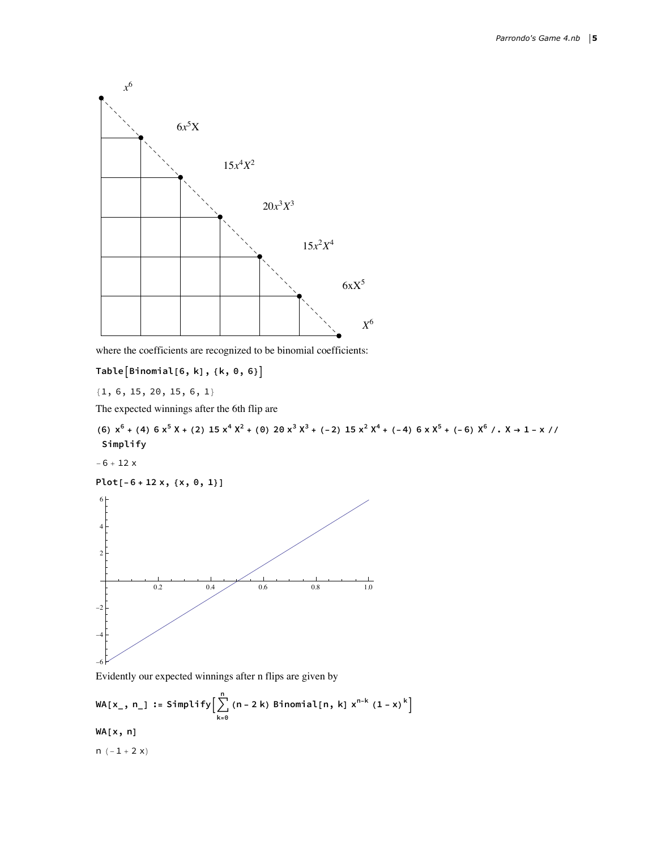

where the coefficients are recognized to be binomial coefficients:

**TableBinomial[6, k], {k, 0, 6}**

{1, 6, 15, 20, 15, 6, 1}

The expected winnings after the 6th flip are

(6)  $x^6$  + (4)  $6x^5X$  + (2)  $15x^4X^2$  + (0)  $20x^3X^3$  + (-2)  $15x^2X^4$  + (-4)  $6xX^5$  + (-6)  $X^6$  /  $\cdot$  X  $\rightarrow$  1 - x // **Simplify**

 $-6 + 12 x$ 





Evidently our expected winnings after n flips are given by

$$
WA[x_1, n_1 := Simplify\Big[\sum_{k=0}^{n} (n-2k) Binomial[n, k] x^{n-k} (1-x)^{k}\Big]
$$
  
 
$$
WA[x, n]
$$
  
 
$$
n(-1+2x)
$$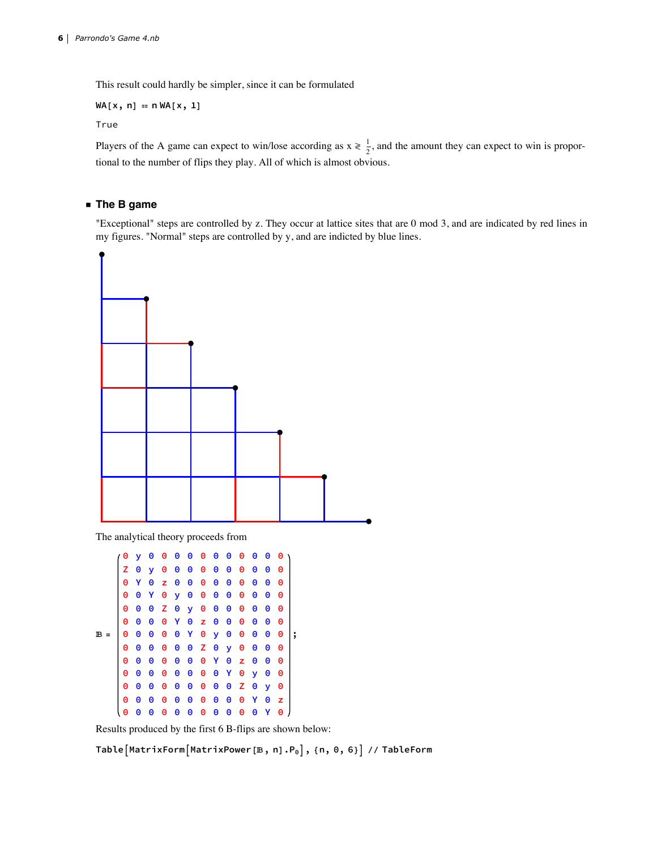This result could hardly be simpler, since it can be formulated

$$
WA[x, n] = nWA[x, 1]
$$

True

Players of the A game can expect to win/lose according as  $x \ge \frac{1}{2}$ , and the amount they can expect to win is proportional to the number of flips they play. All of which is almost obvious.

## **◼ The B game**

"Exceptional" steps are controlled by z. They occur at lattice sites that are 0 mod 3, and are indicated by red lines in my figures. "Normal" steps are controlled by y, and are indicted by blue lines.



The analytical theory proceeds from

```
6 =
    0 y 0 0 0 0 0 0 0 0 0 0 0
    Z 0 y 0 0 0 0 0 0 0 0 0 0
    0 Y 0 z 0 0 0 0 0 0 0 0 0
    0 0 Y 0 y 0 0 0 0 0 0 0 0
    0 0 0 Z 0 y 0 0 0 0 0 0 0
    0 0 0 0 Y 0 z 0 0 0 0 0 0
    0 0 0 0 0 Y 0 y 0 0 0 0 0
    0 0 0 0 0 0 Z 0 y 0 0 0 0
    0 0 0 0 0 0 0 Y 0 z 0 0 0
    0 0 0 0 0 0 0 0 Y 0 y 0 0
    0 0 0 0 0 0 0 0 0 Z 0 y 0
    0 0 0 0 0 0 0 0 0 0 Y 0 z
   0 0 0 0 0 0 0 0 0 0 0 Y 0
                               ;
```
Results produced by the first 6 B-flips are shown below:

**TableMatrixFormMatrixPower[6, n].P0, {n, 0, 6} // TableForm**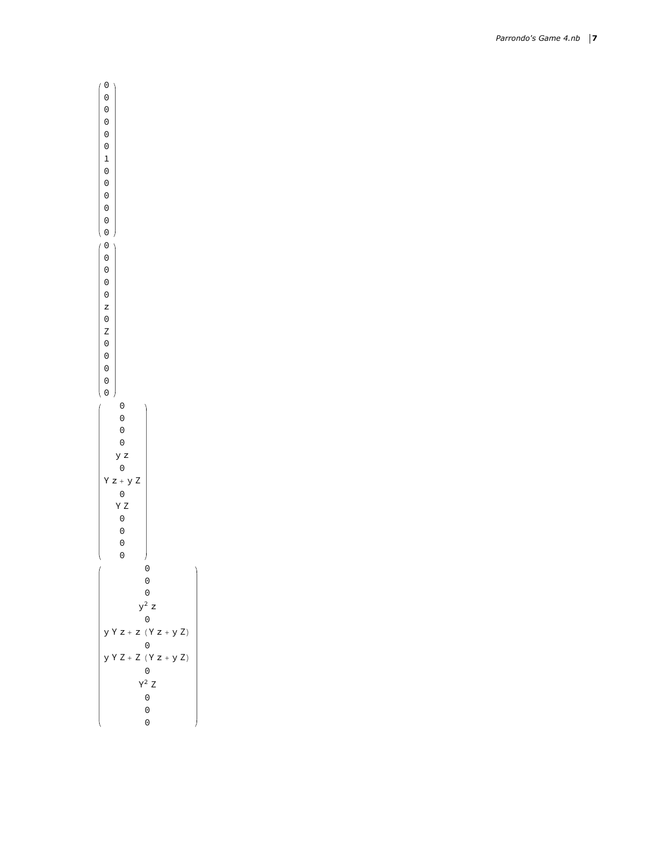| 0 0 0 0 0 1 0 0<br>0<br>0                                                                                      |                                              |
|----------------------------------------------------------------------------------------------------------------|----------------------------------------------|
| 000000020Z00<br>$\Theta$                                                                                       |                                              |
| 0<br>0<br>©<br>⊙<br>⊙<br>y z<br>$\Theta$<br>$x + 0$<br>$y = 0$<br>$y = 0$<br>$y = 0$<br>$y = 0$<br>Z<br>z<br>0 | J<br>0                                       |
| + Z<br>Z                                                                                                       | 0<br>0<br>$r^2$ z<br>0<br>$(Y z + y Z)$<br>0 |
| Z<br>$+Z$                                                                                                      | $(Y z + y Z)$<br>0<br>$Y^2$ Z<br>0<br>0<br>0 |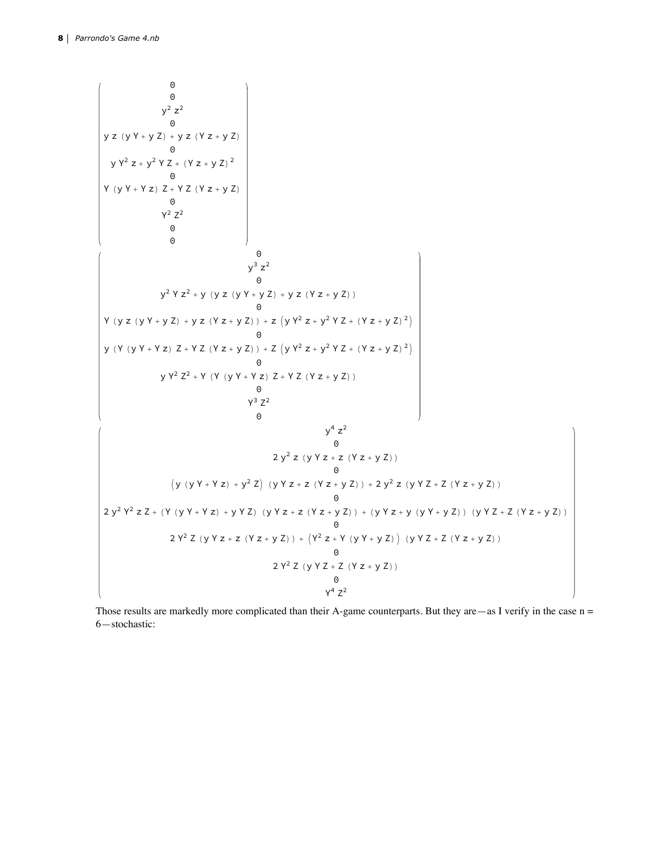

Those results are markedly more complicated than their A-game counterparts. But they are  $-$ as I verify in the case  $n =$ 6—stochastic: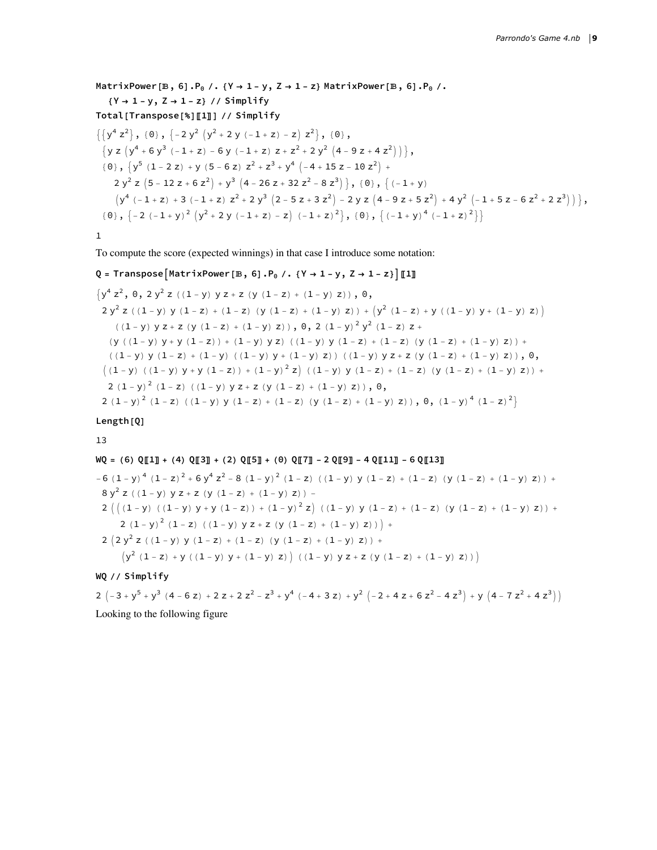MatrixPower [B, 6]. $P_0 /$ . {Y  $\rightarrow$  1 - y, Z  $\rightarrow$  1 - z} MatrixPower [B, 6]. $P_0 /$ . **{Y → 1 - y, Z → 1 - z} // Simplify Total[Transpose[%]〚1〛] // Simplify**  $\{\{y^4 z^2\}, \{0\}, \{-2y^2 (y^2 + 2y (-1 + z) - z) z^2\}, \{0\},$  $\{y z (y^4 + 6 y^3 (-1 + z) - 6 y (-1 + z) z + z^2 + 2 y^2 (4 - 9 z + 4 z^2))\},$  $\{0\}$ ,  $\{y^5 (1 - 2 z) + y (5 - 6 z) z^2 + z^3 + y^4 (-4 + 15 z - 10 z^2) + \cdots\}$  $2 y^{2} z (5 - 12 z + 6 z^{2}) + y^{3} (4 - 26 z + 32 z^{2} - 8 z^{3})$ ,  $\{0\}, \{(-1 + y)\}$  $(y^4$  (-1+z) +3 (-1+z)  $z^2$  +2  $y^3$   $(2 - 5 z + 3 z^2)$  -2 y z  $(4 - 9 z + 5 z^2)$  +4  $y^2$   $(-1 + 5 z - 6 z^2 + 2 z^3)$   $),$  ${0, 0, \{-2, (-1 + y)^2, (y^2 + 2, y, (-1 + z) - z), (-1 + z)^2\}, 0, \{-1 + y)^4, (-1 + z)^2\}}$ 

```
1
```
To compute the score (expected winnings) in that case I introduce some notation:

#### Q = Transpose  $\lceil$ MatrixPower  $\lceil \mathbb{B}, 6 \rceil \cdot P_0 / \cdot \{ Y \rightarrow 1 - y, Z \rightarrow 1 - z \} \rceil \llbracket 1 \rrbracket$

$$
\left\{y^4 z^2, 0, 2y^2 z ((1 - y) y z + z (y (1 - z) + (1 - y) z)), 0\right\}
$$
\n
$$
2y^2 z ((1 - y) y (1 - z) + (1 - z) (y (1 - z) + (1 - y) z)) + (y^2 (1 - z) + y ((1 - y) y + (1 - y) z))
$$
\n
$$
((1 - y) y z + z (y (1 - z) + (1 - y) z)), 0, 2 (1 - y)^2 y^2 (1 - z) z +
$$
\n
$$
(y ((1 - y) y + y (1 - z)) + (1 - y) y z) ((1 - y) y (1 - z) + (1 - z) (y (1 - z) + (1 - y) z)) +
$$
\n
$$
((1 - y) y (1 - z) + (1 - y) (1 - y) y + (1 - y) z)) ((1 - y) y z + z (y (1 - z) + (1 - y) z)), 0,
$$
\n
$$
((1 - y) ((1 - y) y + y (1 - z)) + (1 - y)^2 z) ((1 - y) y (1 - z) + (1 - z) (y (1 - z) + (1 - y) z)) +
$$
\n
$$
2 (1 - y)^2 (1 - z) ((1 - y) y z + z (y (1 - z) + (1 - y) z)), 0,
$$
\n
$$
2 (1 - y)^2 (1 - z) ((1 - y) y (1 - z) + (1 - z) (y (1 - z) + (1 - y) z)), 0, (1 - y)^4 (1 - z)^2
$$

**Length[Q]**

13

### $\texttt{WQ = (6) Q[[1]] + (4) Q[[3]] + (2) Q[[5]] + (0) Q[[7]] - 2 Q[[9]] - 4 Q[[11]] - 6 Q[[13]]}$

 $-6$   $(1 - y)^4$   $(1 - z)^2 + 6y^4z^2 - 8(1 - y)^2(1 - z)$   $((1 - y)y(1 - z) + (1 - z)(y(1 - z) + (1 - y)z)) + (1 - z)(1 - z)z^2 + 6z^2 - 8(1 - y)z^2 + 6z^2 - 8z^2 + 1$  $y^2$  z ((1 - y) y z + z (y (1 - z) + (1 - y) z)) - $\left(\right. \left(\left(\left(1 - y\right) \right. \left(\left(\left(1 - y\right) y + y\left(1 - z\right)\right) + \left(1 - y\right)^2 z\right) \right. \left(\left(\left(1 - y\right) y\left(1 - z\right) + \left(1 - z\right) \right. \left(\left(y\left(1 - z\right) + \left(1 - y\right) z\right)\right)\right.\right.\right. +$  $(1 - y)^2$   $(1 - z)$   $((1 - y) y z + z (y (1 - z) + (1 - y) z)) +$  $(2 y^2 z ((1 - y) y (1 - z) + (1 - z) (y (1 - z) + (1 - y) z)) +$  $(y^{2} (1 - z) + y (1 - y) y + (1 - y) z) (1 - y) y z + z (y (1 - z) + (1 - y) z))$ 

**WQ // Simplify**

2 
$$
(-3 + y^5 + y^3 (4 - 6 z) + 2 z + 2 z^2 - z^3 + y^4 (-4 + 3 z) + y^2 (-2 + 4 z + 6 z^2 - 4 z^3) + y (4 - 7 z^2 + 4 z^3))
$$
  
Looking to the following figure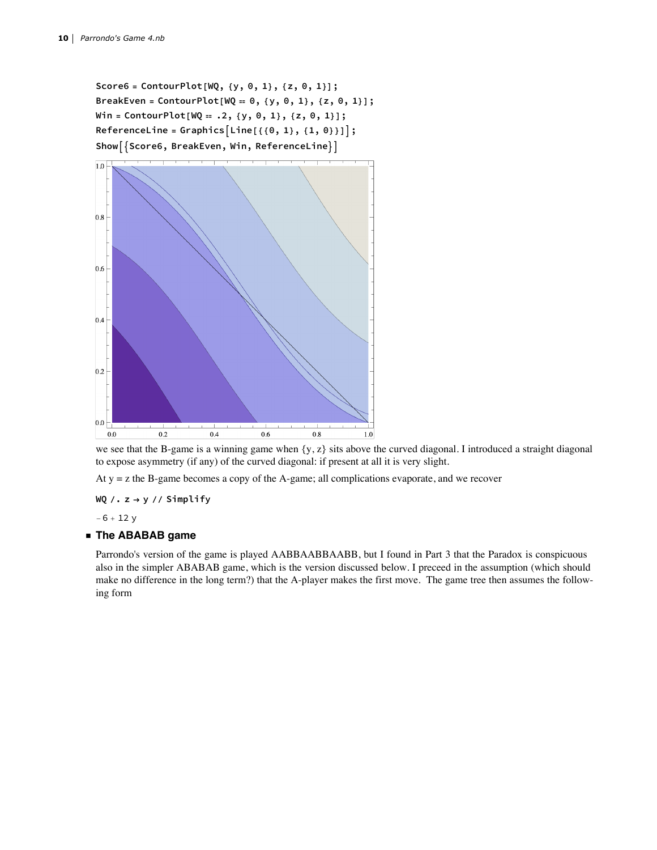**Score6 = ContourPlot[WQ, {y, 0, 1}, {z, 0, 1}]; BreakEven = ContourPlot[WQ ⩵ 0, {y, 0, 1}, {z, 0, 1}]; Win = ContourPlot[WQ ⩵ .2, {y, 0, 1}, {z, 0, 1}]; ReferenceLine = GraphicsLine[{{0, 1}, {1, 0}}]; ShowScore6, BreakEven, Win, ReferenceLine**



we see that the B-game is a winning game when  $\{y, z\}$  sits above the curved diagonal. I introduced a straight diagonal to expose asymmetry (if any) of the curved diagonal: if present at all it is very slight.

At y = z the B-game becomes a copy of the A-game; all complications evaporate, and we recover

**WQ /. z → y // Simplify**

 $-6 + 12y$ 

#### **◼ The ABABAB game**

Parrondo's version of the game is played AABBAABBAABB, but I found in Part 3 that the Paradox is conspicuous also in the simpler ABABAB game, which is the version discussed below. I preceed in the assumption (which should make no difference in the long term?) that the A-player makes the first move. The game tree then assumes the following form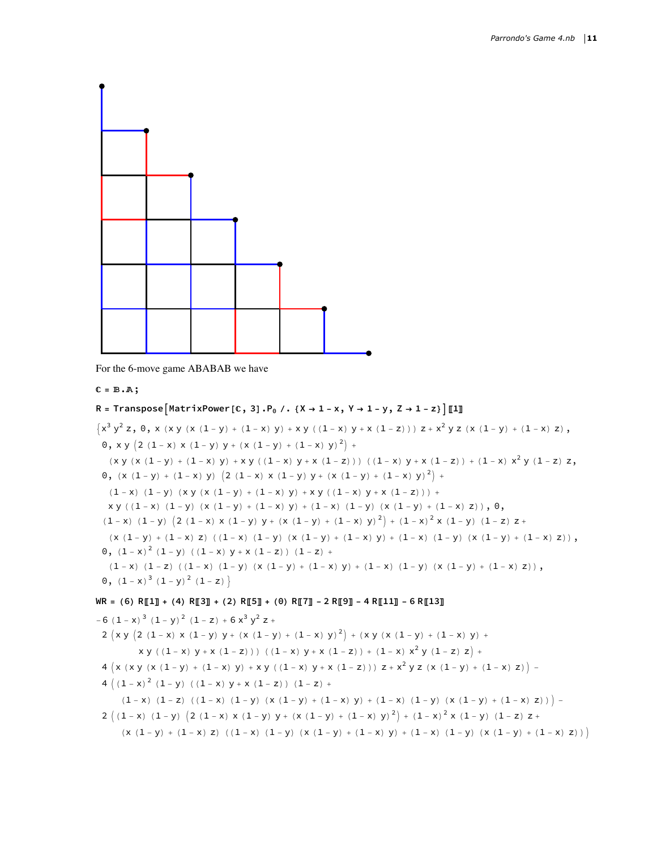

For the 6-move game ABABAB we have

```
ℂ = 6.%;
```
# R = Transpose  $[MatrixPower[C, 3] . P_0 / . (X \rightarrow 1 - x, Y \rightarrow 1 - y, Z \rightarrow 1 - z)] [1]$

 ${x^3 y^2 z, 0, x (x y (x (1 - y) + (1 - x) y) + xy (1 - x) y + x (1 - z))) z + x^2 y z (x (1 - y) + (1 - x) z),$ 0, x y  $(2 (1-x) x (1-y) y + (x (1-y) + (1-x) y)^{2}) +$ (x y (x (1 - y) + (1 - x) y) + x y ((1 - x) y + x (1 - z))) ((1 - x) y + x (1 - z)) + (1 - x)  $x^2$  y (1 - z) z, 0,  $(x (1 - y) + (1 - x) y) (2 (1 - x) x (1 - y) y + (x (1 - y) + (1 - x) y)^{2}) +$  $(1-x)$   $(1-y)$   $(x y (x (1-y) + (1-x) y) + xy (1-x) y + x (1-z))) +$  $xy$  ((1-x) (1-y) (x (1-y) + (1-x) y) + (1-x) (1-y) (x (1-y) + (1-x) z)), 0,  $(1-x) (1-y) (2 (1-x) x (1-y) y + (x (1-y) + (1-x) y)^2) + (1-x)^2 x (1-y) (1-z) z +$  $(x (1 - y) + (1 - x) z) ((1 - x) (1 - y) (x (1 - y) + (1 - x) y) + (1 - x) (1 - y) (x (1 - y) + (1 - x) z)),$ 0,  $(1-x)^2$   $(1-y)$   $((1-x)$   $y + x$   $(1-z)$   $(1-z)$  + (1 - x) (1 - z) ((1 - x) (1 - y) (x (1 - y) + (1 - x) y) + (1 - x) (1 - y) (x (1 - y) + (1 - x) z)), 0,  $(1 - x)^3 (1 - y)^2 (1 - z)$  $\texttt{WR} = (6) \ \texttt{R[[1]]} + (4) \ \texttt{R[[3]]} + (2) \ \texttt{R[[5]]} + (0) \ \texttt{R[[7]]} - 2 \ \texttt{R[[9]]} - 4 \ \texttt{R[[11]]} - 6 \ \texttt{R[[13]]}$  $-6$   $(1-x)^3$   $(1-y)^2$   $(1-z) + 6x^3y^2z +$ 2  $(x y (2 (1-x) x (1-y) y + (x (1-y) + (1-x) y)^{2}) + (xy (x (1-y) + (1-x) y) + (1-x) (x^{2} + (x^{2} + y^{2}))^{2})$  $x y ((1-x) y + x (1-z)))( (1-x) y + x (1-z)) + (1-x) x<sup>2</sup> y (1-z) z) +$ 

$$
4\,\left(x\,\left(x\,y\,\left(x\,\left(1-y\right)\,+\,\left(1-x\right)\,y\right)\,+\,x\,y\,\left(\,\left(1-x\right)\,y+x\,\left(1-z\right)\,\right)\,\right)\,z+x^{2}\,y\,z\,\left(x\,\left(1-y\right)\,+\,\left(1-x\right)\,z\right)\,\right)\,-
$$

$$
4 ((1-x)^{2} (1-y) ((1-x) y + x (1-z)) (1-z) +
$$

$$
-(1-x)~~(1-z)~~((1-x)~~(1-y)~~(x~(1-y)~+~(1-x)~~y)~+~(1-x)~~(1-y)~~(x~(1-y)~+~(1-x)~~z)~)~\Big)-\\
$$

$$
2\ \left(\ (1-x)\ \ (1-y)\ \left(\ 2\ \ (1-x)\ \ x\ \ (1-y)\ \ y+\ \left(x\ \ (1-y)\ +\ (1-x)\ \ y\right)^{\,2}\right)+\ \left(1-x\right)^{\,2}\ x\ \ (1-y)\ \ (1-z)\ \ z+\ \left(1-\left(x\ +\right)^{\,2}\ x\ +\ \left(x\ +\right)^{\,2}\ x\ \ (1-z)\ \ y+\ \left(x\ +\ \left(x\ +\right)^{\,2}\ x\ +\ \left(x\ +\right)^{\,2}\ x\ +\ \left(x\ +\right)^{\,2}\ x\ +\ \left(x\ +\right)^{\,2}\ x\ +\ \left(x\ +\right)^{\,2}\ x\ +\ \left(x\ +\right)^{\,2}\ x\ +\ \left(x\ +\right)^{\,2}\ x\ +\ \left(x\ +\right)^{\,2}\ x\ +\ \left(x\ +\right)^{\,2}\ x\ +\ \left(x\ +\right)^{\,2}\ x\ +\ \left(x\ +\right)^{\,2}\ x\ +\ \left(x\ +\right)^{\,2}\ x\ +\ \left(x\ +\right)^{\,2}\ x\ +\ \left(x\ +\right)^{\,2}\ x\ +\ \left(x\ +\right)^{\,2}\ x\ +\ \left(x\ +\right)^{\,2}\ x\ +\ \left(x\ +\right)^{\,2}\ x\ +\ \left(x\ +\right)^{\,2}\ x\ +\ \left(x\ +\right)^{\,2}\ x\ +\ \left(x\ +\right)^{\,2}\ x\ +\ \left(x\ +\right)^{\,2}\ x\ +\ \left(x\ +\right)^{\,2}\ x\ +\ \left(x\ +\right)^{\,2}\ x\ +\ \left(x\ +\right)^{\,2}\ x\ +\ \left(x\ +\right)^{\,2}\ x\ +\ \left(x\ +\right)^{\,2}\ x\ +\ \left(x\ +\right)^{\,2}\ x\ +\ \left(x\ +\right)^{\,2}\ x\ +\ \left(x\ +\right)^{\,2}\ x\ +\ \left(x\ +\right)^{\,2}\ x\ +\ \left(x\ +\right)^{\,2}\ x\ +\ \left(x\ +\right)^{\,2}\ x\ +\ \left(x\ +\right)^{\,2}\ x\ +\ \left(x\ +\right)^{\,2}\ x\ +\ \left(x\ +\right)^{\,2}\ x\ +\ \left(x\ +\right)^{\,2}\ x\ +\ \left(x\ +\right)^{\,2}\ x\ +\ \left(x\ +\right)^{\,2}\ x\ +\ \left(x\ +\right)^{\,2}\ x
$$

$$
(x\ (1-y)\ +\ (1-x)\ z)\ \ ((\ 1-x)\ \ (1-y)\ \ (x\ (1-y)\ +\ (1-x)\ y)\ +\ (1-x)\ \ (1-y)\ \ (x\ (1-y)\ +\ (1-x)\ z)\ )\ \Big)
$$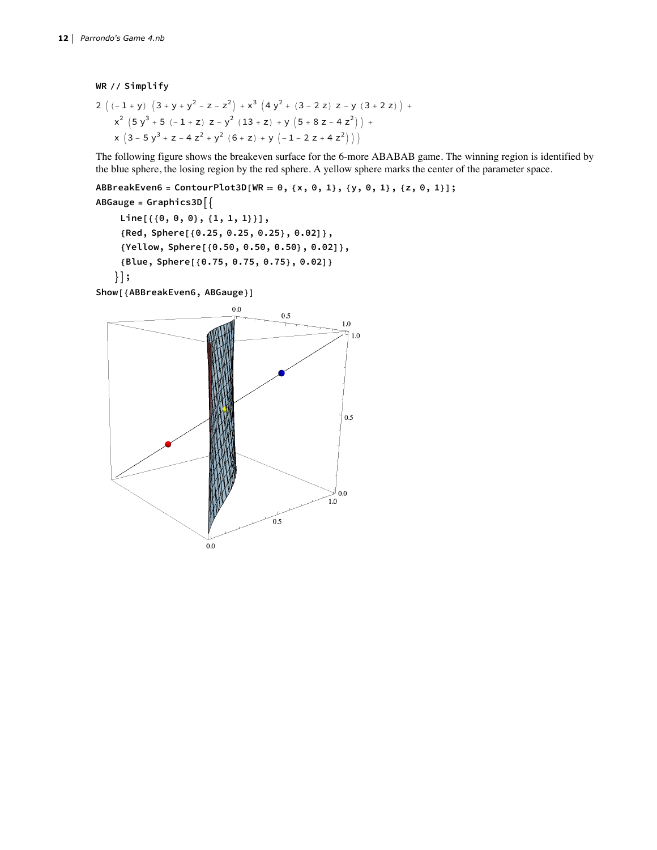**WR // Simplify**

$$
2\left((-1+y)\left(3+y+y^2-z-z^2\right)+x^3\left(4y^2+(3-2 z)\right)z-y\left(3+2 z\right)\right)+x^2\left(5y^3+5\left(-1+z\right)z-y^2\left(13+z\right)+y\left(5+8 z-4 z^2\right)\right)+x\left(3-5y^3+z-4 z^2+y^2\left(6+z\right)+y\left(-1-2 z+4 z^2\right)\right)\right)
$$

The following figure shows the breakeven surface for the 6-more ABABAB game. The winning region is identified by the blue sphere, the losing region by the red sphere. A yellow sphere marks the center of the parameter space.

ABBreakEven6 = ContourPlot3D[WR == 0, {x, 0, 1}, {y, 0, 1}, {z, 0, 1}];

```
ABGauge = Graphics3D
    Line[{{0, 0, 0}, {1, 1, 1}}],
    {Red, Sphere[{0.25, 0.25, 0.25}, 0.02]},
    {Yellow, Sphere[{0.50, 0.50, 0.50}, 0.02]},
    {Blue, Sphere[{0.75, 0.75, 0.75}, 0.02]}
   ;
```
**Show[{ABBreakEven6, ABGauge}]**

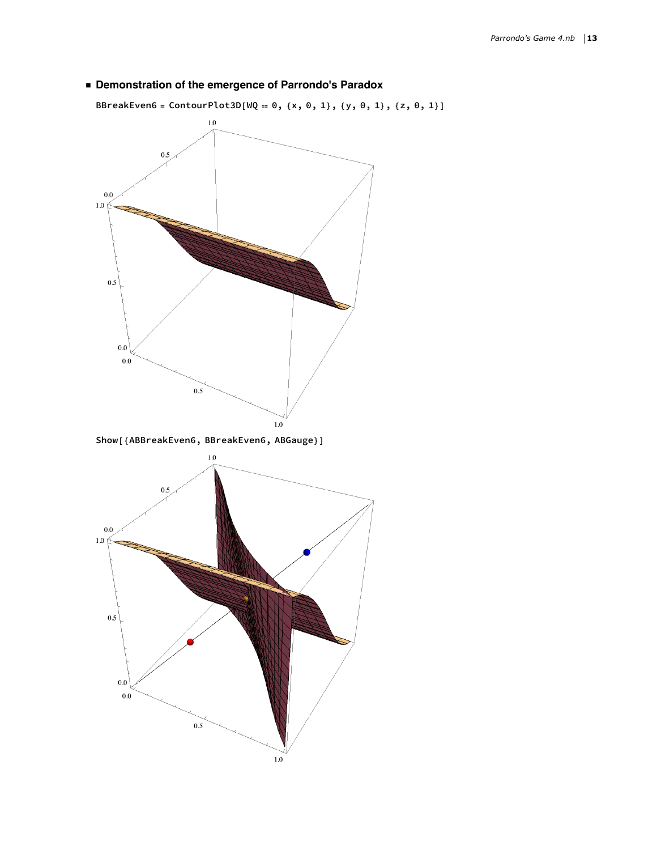**◼ Demonstration of the emergence of Parrondo's Paradox**



BBreakEven6 = ContourPlot3D[WQ == 0, {x, 0, 1}, {y, 0, 1}, {z, 0, 1}]



 $1.0\,$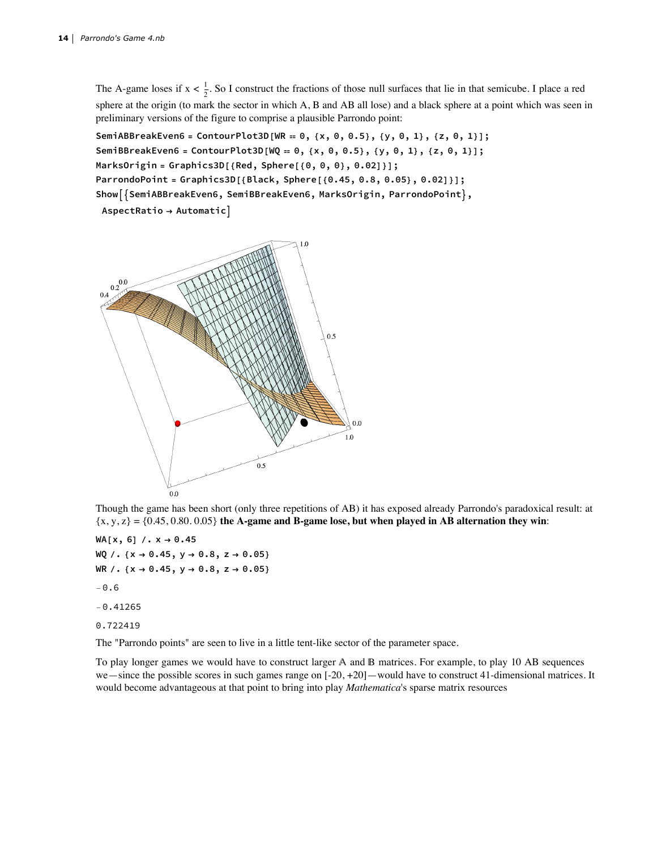The A-game loses if  $x < \frac{1}{2}$ . So I construct the fractions of those null surfaces that lie in that semicube. I place a red sphere at the origin (to mark the sector in which A, B and AB all lose) and a black sphere at a point which was seen in preliminary versions of the figure to comprise a plausible Parrondo point:

SemiABBreakEven6 = ContourPlot3D[WR == 0, {x, 0, 0.5}, {y, 0, 1}, {z, 0, 1}]; SemiBBreakEven6 = ContourPlot3D[WQ == 0, {x, 0, 0.5}, {y, 0, 1}, {z, 0, 1}]; **MarksOrigin = Graphics3D[{Red, Sphere[{0, 0, 0}, 0.02]}]; ParrondoPoint = Graphics3D[{Black, Sphere[{0.45, 0.8, 0.05}, 0.02]}];**  $Show[\{SemiABBreakEven6, SemiBBreakEven6, ManckSOrigin, ParrondoPoint\},]$ 

**AspectRatio → Automatic**



Though the game has been short (only three repetitions of AB) it has exposed already Parrondo's paradoxical result: at  $\{x, y, z\} = \{0.45, 0.80, 0.05\}$  the A-game and B-game lose, but when played in AB alternation they win:

**WA[x, 6] /. x → 0.45 WQ /. {x → 0.45, y → 0.8, z → 0.05} WR /. {x → 0.45, y → 0.8, z → 0.05}**  $-0.6$  $-0.41265$ 0.722419

The "Parrondo points" are seen to live in a little tent-like sector of the parameter space.

To play longer games we would have to construct larger A and B matrices. For example, to play 10 AB sequences we—since the possible scores in such games range on [-20, +20]—would have to construct 41-dimensional matrices. It would become advantageous at that point to bring into play *Mathematica*'s sparse matrix resources